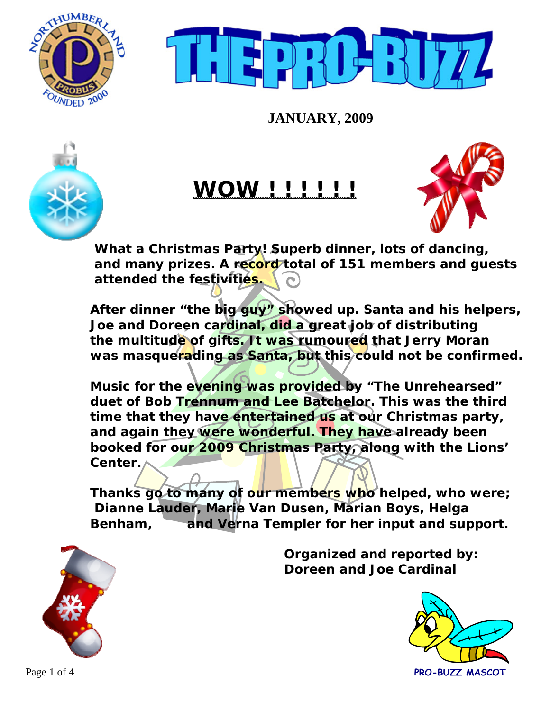



**JANUARY, 2009** 



# **WOW ! ! ! ! ! !**



 **What a Christmas Party! Superb dinner, lots of dancing, and many prizes. A record total of 151 members and guests attended the festivities.** 

 **After dinner "the big guy" showed up. Santa and his helpers, Joe and Doreen cardinal, did a great job of distributing the multitude of gifts. It was rumoured that Jerry Moran was masquerading as Santa, but this could not be confirmed.** 

 **Music for the evening was provided by "The Unrehearsed" duet of Bob Trennum and Lee Batchelor. This was the third time that they have entertained us at our Christmas party, and again they were wonderful. They have already been booked for our 2009 Christmas Party, along with the Lions' Center.** 

 **Thanks go to many of our members who helped, who were; Dianne Lauder, Marie Van Dusen, Marian Boys, Helga Benham, and Verna Templer for her input and support.** 



 **Organized and reported by: Doreen and Joe Cardinal** 

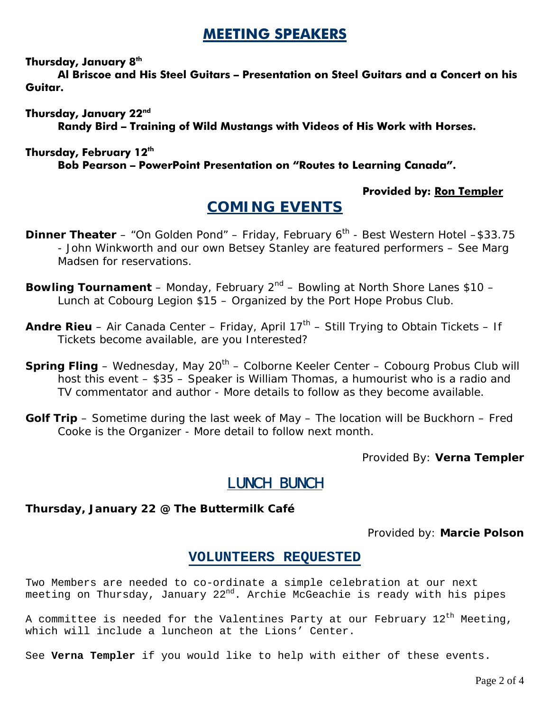### **MEETING SPEAKERS**

#### **Thursday, January 8th**

 **Al Briscoe and His Steel Guitars – Presentation on Steel Guitars and a Concert on his Guitar.** 

**Thursday, January 22nd Randy Bird – Training of Wild Mustangs with Videos of His Work with Horses.** 

#### **Thursday, February 12th**

 **Bob Pearson – PowerPoint Presentation on "Routes to Learning Canada".** 

### **Provided by: Ron Templer**

### **COMING EVENTS**

- **Dinner Theater** "On Golden Pond" Friday, February 6<sup>th</sup> Best Western Hotel \$33.75 - John Winkworth and our own Betsey Stanley are featured performers – See Marg Madsen for reservations.
- **Bowling Tournament** Monday, February 2<sup>nd</sup> Bowling at North Shore Lanes \$10 Lunch at Cobourg Legion \$15 – Organized by the Port Hope Probus Club.
- **Andre Rieu** Air Canada Center Friday, April 17<sup>th</sup> Still Trying to Obtain Tickets If Tickets become available, are you Interested?
- **Spring Fling** Wednesday, May 20<sup>th</sup> Colborne Keeler Center Cobourg Probus Club will host this event – \$35 – Speaker is William Thomas, a humourist who is a radio and TV commentator and author - More details to follow as they become available.
- **Golf Trip** Sometime during the last week of May The location will be Buckhorn Fred Cooke is the Organizer - More detail to follow next month.

Provided By: **Verna Templer** 

### LUNCH BUNCH

### **Thursday, January 22 @ The Buttermilk Café**

Provided by: **Marcie Polson** 

### **VOLUNTEERS REQUESTED**

Two Members are needed to co-ordinate a simple celebration at our next meeting on Thursday, January  $22^{nd}$ . Archie McGeachie is ready with his pipes

A committee is needed for the Valentines Party at our February  $12^{\text{th}}$  Meeting, which will include a luncheon at the Lions' Center.

See **Verna Templer** if you would like to help with either of these events.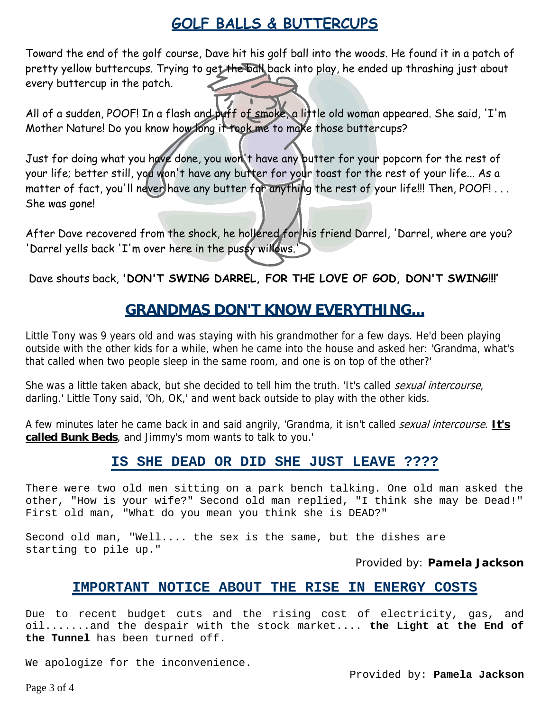## **GOLF BALLS & BUTTERCUPS**

Toward the end of the golf course, Dave hit his golf ball into the woods. He found it in a patch of pretty yellow buttercups. Trying to get the ball back into play, he ended up thrashing just about every buttercup in the patch.

All of a sudden, POOF! In a flash and puff of smoke, a little old woman appeared. She said, 'I'm Mother Nature! Do you know how long it took me to make those buttercups?

Just for doing what you have done, you won't have any butter for your popcorn for the rest of your life; better still, you won't have any butter for your toast for the rest of your life... As a matter of fact, you'll never have any butter for anything the rest of your life!!! Then, POOF! . . . She was gone!

After Dave recovered from the shock, he hollered for his friend Darrel, 'Darrel, where are you? 'Darrel yells back 'I'm over here in the pussy willows.

Dave shouts back, **'DON'T SWING DARREL, FOR THE LOVE OF GOD, DON'T SWING!!!'**

### **GRANDMAS DON'T KNOW EVERYTHING...**

Little Tony was 9 years old and was staying with his grandmother for a few days. He'd been playing outside with the other kids for a while, when he came into the house and asked her: 'Grandma, what's that called when two people sleep in the same room, and one is on top of the other?'

She was a little taken aback, but she decided to tell him the truth. 'It's called sexual intercourse, darling.' Little Tony said, 'Oh, OK,' and went back outside to play with the other kids.

A few minutes later he came back in and said angrily, 'Grandma, it isn't called sexual intercourse. **It's called Bunk Beds**, and Jimmy's mom wants to talk to you.'

### **IS SHE DEAD OR DID SHE JUST LEAVE ????**

There were two old men sitting on a park bench talking. One old man asked the other, "How is your wife?" Second old man replied, "I think she may be Dead!" First old man, "What do you mean you think she is DEAD?"

Second old man, "Well.... the sex is the same, but the dishes are starting to pile up."

Provided by: **Pamela Jackson** 

### **IMPORTANT NOTICE ABOUT THE RISE IN ENERGY COSTS**

Due to recent budget cuts and the rising cost of electricity, gas, and oil.......and the despair with the stock market.... **the Light at the End of the Tunnel** has been turned off.

We apologize for the inconvenience.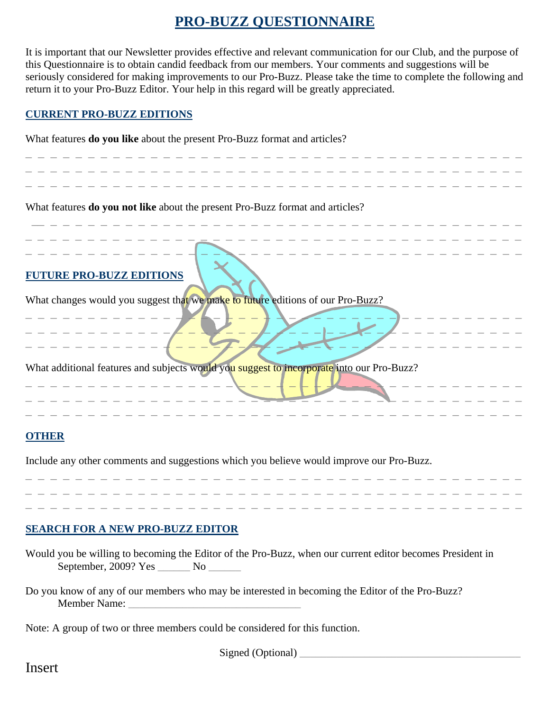### **PRO-BUZZ QUESTIONNAIRE**

It is important that our Newsletter provides effective and relevant communication for our Club, and the purpose of this Questionnaire is to obtain candid feedback from our members. Your comments and suggestions will be seriously considered for making improvements to our Pro-Buzz. Please take the time to complete the following and return it to your Pro-Buzz Editor. Your help in this regard will be greatly appreciated.

#### **CURRENT PRO-BUZZ EDITIONS**

What features **do you like** about the present Pro-Buzz format and articles?

| What features do you not like about the present Pro-Buzz format and articles?             |  |
|-------------------------------------------------------------------------------------------|--|
| <b>TURE PRO-BUZZ EDITIONS</b>                                                             |  |
| What changes would you suggest that we make to future editions of our Pro-Buzz?           |  |
| What additional features and subjects would you suggest to incorporate into our Pro-Buzz? |  |
| <b>OTHER</b>                                                                              |  |
| Include any other comments and suggestions which you believe would improve our Pro-Buzz.  |  |

#### **SEARCH FOR A NEW PRO-BUZZ EDITOR**

|                      | Would you be willing to becoming the Editor of the Pro-Buzz, when our current editor becomes President in |
|----------------------|-----------------------------------------------------------------------------------------------------------|
| September, 2009? Yes | $N_{\rm O}$                                                                                               |

\_ \_ \_ \_ \_ \_ \_ \_ \_ \_ \_ \_ \_ \_ \_ \_ \_ \_ \_ \_ \_ \_ \_ \_ \_ \_ \_ \_ \_ \_ \_ \_ \_ \_ \_ \_ \_ \_ \_ \_

Do you know of any of our members who may be interested in becoming the Editor of the Pro-Buzz? Member Name:

Note: A group of two or three members could be considered for this function.

Signed (Optional) \_\_\_\_\_\_\_\_\_\_\_\_\_\_\_\_\_\_\_\_\_\_\_\_\_\_\_\_\_\_\_\_\_\_\_\_\_\_\_\_\_

Insert